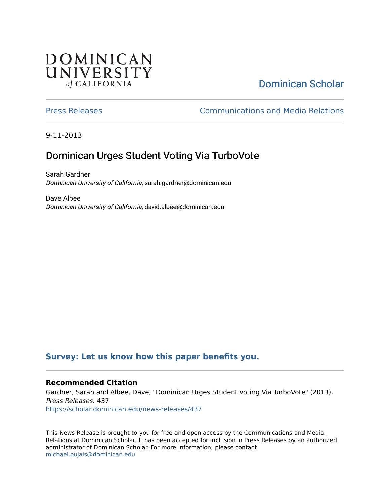## **DOMINICAN** UNIVERSITY of CALIFORNIA

# [Dominican Scholar](https://scholar.dominican.edu/)

[Press Releases](https://scholar.dominican.edu/news-releases) [Communications and Media Relations](https://scholar.dominican.edu/communications-media) 

9-11-2013

# Dominican Urges Student Voting Via TurboVote

Sarah Gardner Dominican University of California, sarah.gardner@dominican.edu

Dave Albee Dominican University of California, david.albee@dominican.edu

## **[Survey: Let us know how this paper benefits you.](https://dominican.libwizard.com/dominican-scholar-feedback)**

### **Recommended Citation**

Gardner, Sarah and Albee, Dave, "Dominican Urges Student Voting Via TurboVote" (2013). Press Releases. 437. [https://scholar.dominican.edu/news-releases/437](https://scholar.dominican.edu/news-releases/437?utm_source=scholar.dominican.edu%2Fnews-releases%2F437&utm_medium=PDF&utm_campaign=PDFCoverPages)

This News Release is brought to you for free and open access by the Communications and Media Relations at Dominican Scholar. It has been accepted for inclusion in Press Releases by an authorized administrator of Dominican Scholar. For more information, please contact [michael.pujals@dominican.edu.](mailto:michael.pujals@dominican.edu)